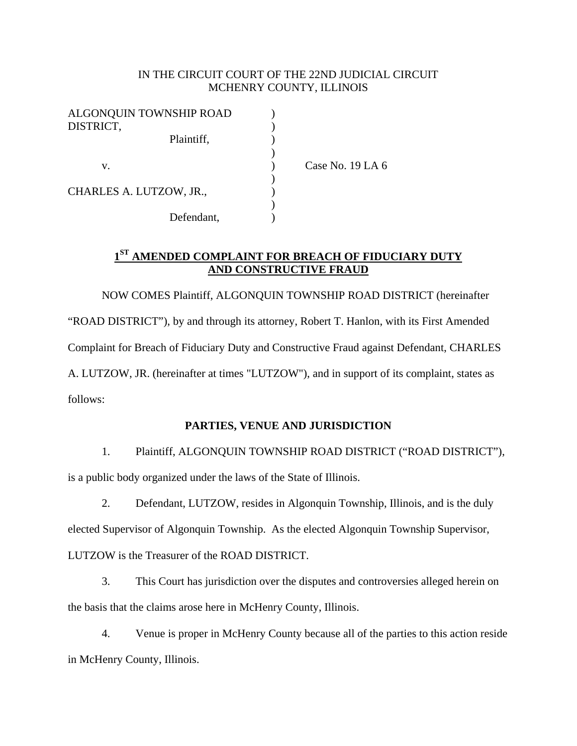## IN THE CIRCUIT COURT OF THE 22ND JUDICIAL CIRCUIT MCHENRY COUNTY, ILLINOIS

| ALGONQUIN TOWNSHIP ROAD |            |  |
|-------------------------|------------|--|
| DISTRICT,               |            |  |
|                         | Plaintiff, |  |
|                         |            |  |
| V.                      |            |  |
|                         |            |  |
| CHARLES A. LUTZOW, JR., |            |  |
|                         |            |  |
|                         | Defendant, |  |

Case No. 19 LA 6

# **1ST AMENDED COMPLAINT FOR BREACH OF FIDUCIARY DUTY AND CONSTRUCTIVE FRAUD**

 NOW COMES Plaintiff, ALGONQUIN TOWNSHIP ROAD DISTRICT (hereinafter "ROAD DISTRICT"), by and through its attorney, Robert T. Hanlon, with its First Amended Complaint for Breach of Fiduciary Duty and Constructive Fraud against Defendant, CHARLES A. LUTZOW, JR. (hereinafter at times "LUTZOW"), and in support of its complaint, states as follows:

## **PARTIES, VENUE AND JURISDICTION**

1. Plaintiff, ALGONQUIN TOWNSHIP ROAD DISTRICT ("ROAD DISTRICT"),

is a public body organized under the laws of the State of Illinois.

2. Defendant, LUTZOW, resides in Algonquin Township, Illinois, and is the duly

elected Supervisor of Algonquin Township. As the elected Algonquin Township Supervisor,

LUTZOW is the Treasurer of the ROAD DISTRICT.

3. This Court has jurisdiction over the disputes and controversies alleged herein on the basis that the claims arose here in McHenry County, Illinois.

4. Venue is proper in McHenry County because all of the parties to this action reside in McHenry County, Illinois.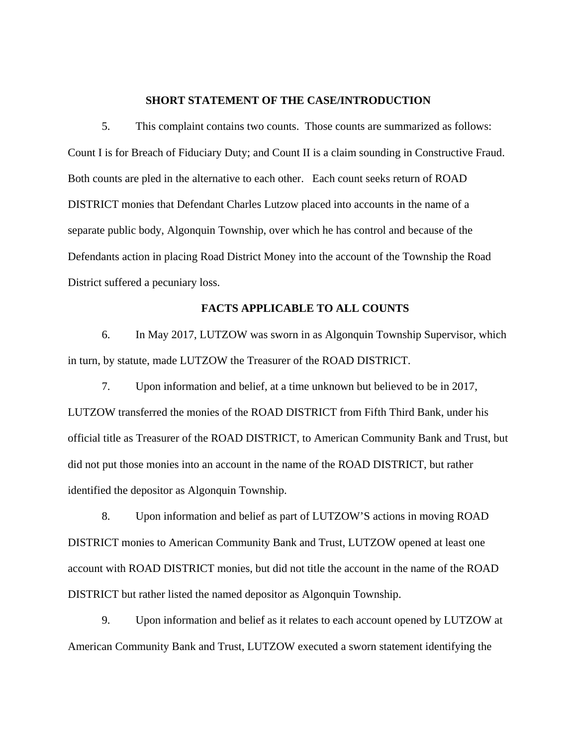#### **SHORT STATEMENT OF THE CASE/INTRODUCTION**

5. This complaint contains two counts. Those counts are summarized as follows: Count I is for Breach of Fiduciary Duty; and Count II is a claim sounding in Constructive Fraud. Both counts are pled in the alternative to each other. Each count seeks return of ROAD DISTRICT monies that Defendant Charles Lutzow placed into accounts in the name of a separate public body, Algonquin Township, over which he has control and because of the Defendants action in placing Road District Money into the account of the Township the Road District suffered a pecuniary loss.

### **FACTS APPLICABLE TO ALL COUNTS**

6. In May 2017, LUTZOW was sworn in as Algonquin Township Supervisor, which in turn, by statute, made LUTZOW the Treasurer of the ROAD DISTRICT.

7. Upon information and belief, at a time unknown but believed to be in 2017, LUTZOW transferred the monies of the ROAD DISTRICT from Fifth Third Bank, under his official title as Treasurer of the ROAD DISTRICT, to American Community Bank and Trust, but did not put those monies into an account in the name of the ROAD DISTRICT, but rather identified the depositor as Algonquin Township.

8. Upon information and belief as part of LUTZOW'S actions in moving ROAD DISTRICT monies to American Community Bank and Trust, LUTZOW opened at least one account with ROAD DISTRICT monies, but did not title the account in the name of the ROAD DISTRICT but rather listed the named depositor as Algonquin Township.

9. Upon information and belief as it relates to each account opened by LUTZOW at American Community Bank and Trust, LUTZOW executed a sworn statement identifying the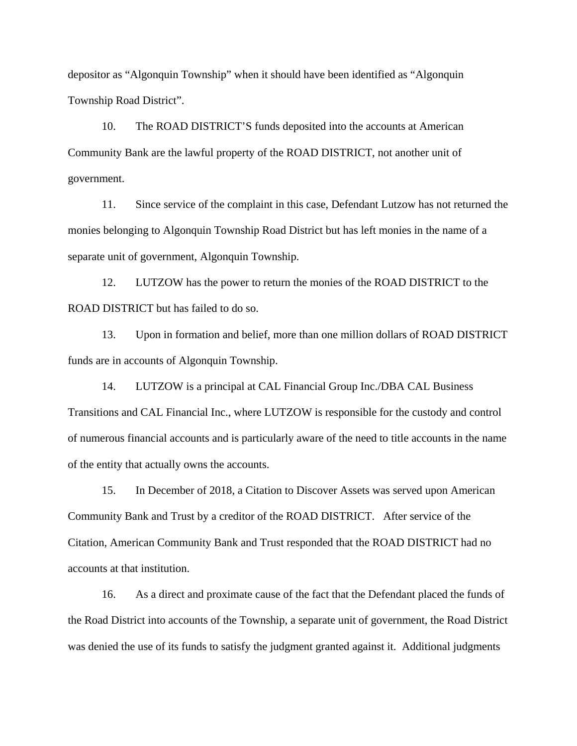depositor as "Algonquin Township" when it should have been identified as "Algonquin Township Road District".

10. The ROAD DISTRICT'S funds deposited into the accounts at American Community Bank are the lawful property of the ROAD DISTRICT, not another unit of government.

11. Since service of the complaint in this case, Defendant Lutzow has not returned the monies belonging to Algonquin Township Road District but has left monies in the name of a separate unit of government, Algonquin Township.

12. LUTZOW has the power to return the monies of the ROAD DISTRICT to the ROAD DISTRICT but has failed to do so.

13. Upon in formation and belief, more than one million dollars of ROAD DISTRICT funds are in accounts of Algonquin Township.

14. LUTZOW is a principal at CAL Financial Group Inc./DBA CAL Business Transitions and CAL Financial Inc., where LUTZOW is responsible for the custody and control of numerous financial accounts and is particularly aware of the need to title accounts in the name of the entity that actually owns the accounts.

15. In December of 2018, a Citation to Discover Assets was served upon American Community Bank and Trust by a creditor of the ROAD DISTRICT. After service of the Citation, American Community Bank and Trust responded that the ROAD DISTRICT had no accounts at that institution.

16. As a direct and proximate cause of the fact that the Defendant placed the funds of the Road District into accounts of the Township, a separate unit of government, the Road District was denied the use of its funds to satisfy the judgment granted against it. Additional judgments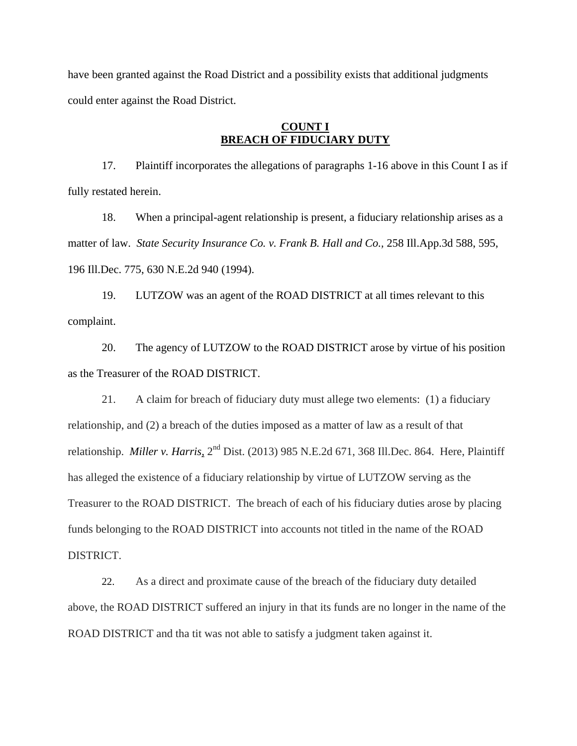have been granted against the Road District and a possibility exists that additional judgments could enter against the Road District.

## **COUNT I BREACH OF FIDUCIARY DUTY**

17. Plaintiff incorporates the allegations of paragraphs 1-16 above in this Count I as if fully restated herein.

18. When a principal-agent relationship is present, a fiduciary relationship arises as a matter of law. *State Security Insurance Co. v. Frank B. Hall and Co.,* 258 Ill.App.3d 588, 595, 196 Ill.Dec. 775, 630 N.E.2d 940 (1994).

19. LUTZOW was an agent of the ROAD DISTRICT at all times relevant to this complaint.

20. The agency of LUTZOW to the ROAD DISTRICT arose by virtue of his position as the Treasurer of the ROAD DISTRICT.

21. A claim for breach of fiduciary duty must allege two elements: (1) a fiduciary relationship, and (2) a breach of the duties imposed as a matter of law as a result of that relationship. *Miller v. Harris*, 2<sup>nd</sup> Dist. (2013) 985 N.E.2d 671, 368 Ill.Dec. 864. Here, Plaintiff has alleged the existence of a fiduciary relationship by virtue of LUTZOW serving as the Treasurer to the ROAD DISTRICT. The breach of each of his fiduciary duties arose by placing funds belonging to the ROAD DISTRICT into accounts not titled in the name of the ROAD DISTRICT.

22. As a direct and proximate cause of the breach of the fiduciary duty detailed above, the ROAD DISTRICT suffered an injury in that its funds are no longer in the name of the ROAD DISTRICT and tha tit was not able to satisfy a judgment taken against it.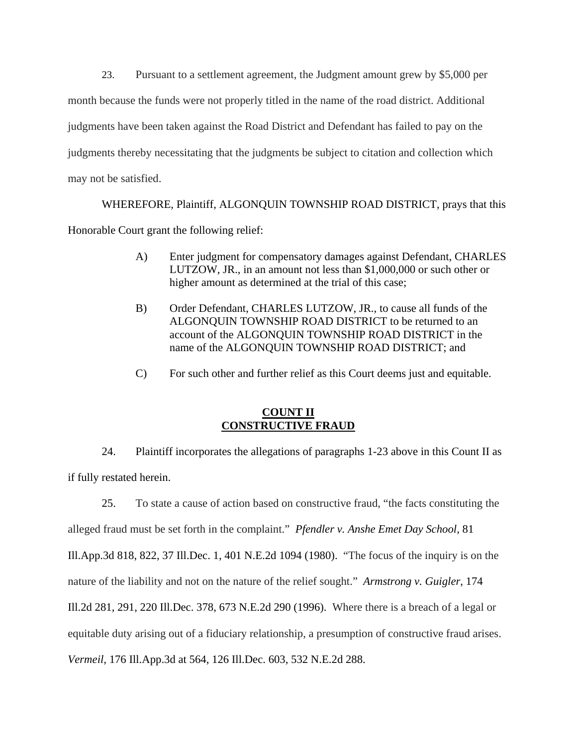23. Pursuant to a settlement agreement, the Judgment amount grew by \$5,000 per month because the funds were not properly titled in the name of the road district. Additional judgments have been taken against the Road District and Defendant has failed to pay on the judgments thereby necessitating that the judgments be subject to citation and collection which may not be satisfied.

# WHEREFORE, Plaintiff, ALGONQUIN TOWNSHIP ROAD DISTRICT, prays that this

Honorable Court grant the following relief:

- A) Enter judgment for compensatory damages against Defendant, CHARLES LUTZOW, JR., in an amount not less than \$1,000,000 or such other or higher amount as determined at the trial of this case;
- B) Order Defendant, CHARLES LUTZOW, JR., to cause all funds of the ALGONQUIN TOWNSHIP ROAD DISTRICT to be returned to an account of the ALGONQUIN TOWNSHIP ROAD DISTRICT in the name of the ALGONQUIN TOWNSHIP ROAD DISTRICT; and
- C) For such other and further relief as this Court deems just and equitable.

## **COUNT II CONSTRUCTIVE FRAUD**

24. Plaintiff incorporates the allegations of paragraphs 1-23 above in this Count II as if fully restated herein.

25. To state a cause of action based on constructive fraud, "the facts constituting the alleged fraud must be set forth in the complaint." *Pfendler v. Anshe Emet Day School,* 81 Ill.App.3d 818, 822, 37 Ill.Dec. 1, 401 N.E.2d 1094 (1980). "The focus of the inquiry is on the nature of the liability and not on the nature of the relief sought." *Armstrong v. Guigler,* 174 Ill.2d 281, 291, 220 Ill.Dec. 378, 673 N.E.2d 290 (1996). Where there is a breach of a legal or equitable duty arising out of a fiduciary relationship, a presumption of constructive fraud arises. *Vermeil,* 176 Ill.App.3d at 564, 126 Ill.Dec. 603, 532 N.E.2d 288.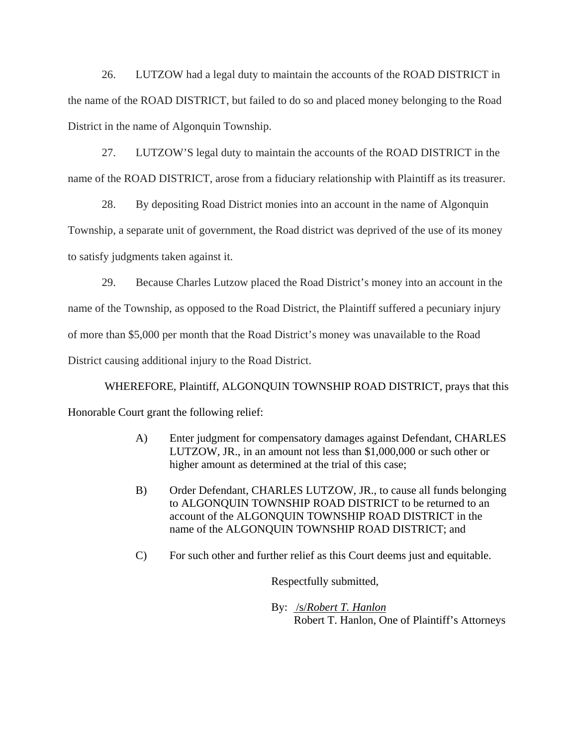26. LUTZOW had a legal duty to maintain the accounts of the ROAD DISTRICT in the name of the ROAD DISTRICT, but failed to do so and placed money belonging to the Road District in the name of Algonquin Township.

27. LUTZOW'S legal duty to maintain the accounts of the ROAD DISTRICT in the name of the ROAD DISTRICT, arose from a fiduciary relationship with Plaintiff as its treasurer.

28. By depositing Road District monies into an account in the name of Algonquin Township, a separate unit of government, the Road district was deprived of the use of its money to satisfy judgments taken against it.

29. Because Charles Lutzow placed the Road District's money into an account in the name of the Township, as opposed to the Road District, the Plaintiff suffered a pecuniary injury of more than \$5,000 per month that the Road District's money was unavailable to the Road District causing additional injury to the Road District.

 WHEREFORE, Plaintiff, ALGONQUIN TOWNSHIP ROAD DISTRICT, prays that this Honorable Court grant the following relief:

- A) Enter judgment for compensatory damages against Defendant, CHARLES LUTZOW, JR., in an amount not less than \$1,000,000 or such other or higher amount as determined at the trial of this case;
- B) Order Defendant, CHARLES LUTZOW, JR., to cause all funds belonging to ALGONQUIN TOWNSHIP ROAD DISTRICT to be returned to an account of the ALGONQUIN TOWNSHIP ROAD DISTRICT in the name of the ALGONQUIN TOWNSHIP ROAD DISTRICT; and
- C) For such other and further relief as this Court deems just and equitable.

Respectfully submitted,

 By: /s/*Robert T. Hanlon* Robert T. Hanlon, One of Plaintiff's Attorneys